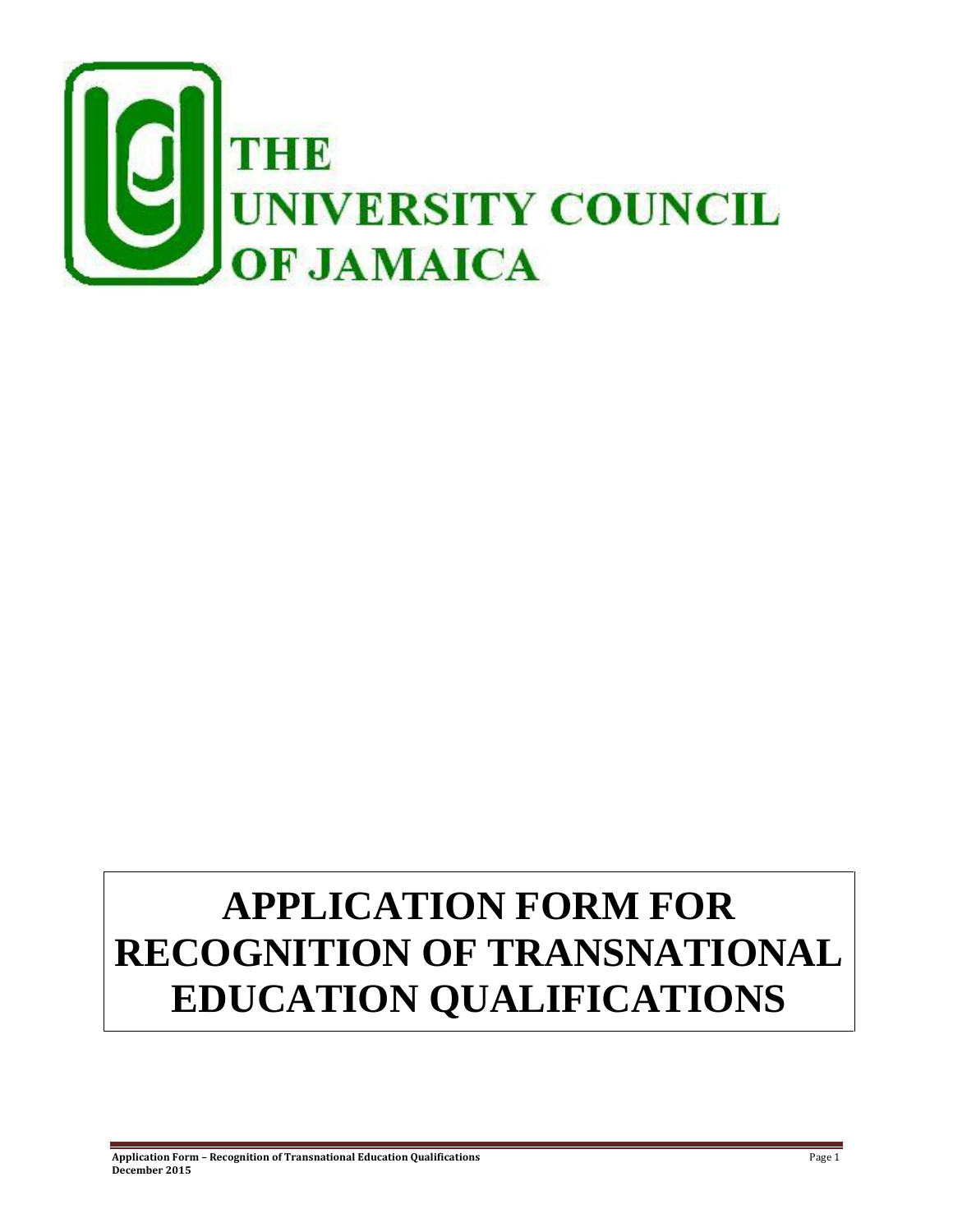

# **APPLICATION FORM FOR RECOGNITION OF TRANSNATIONAL EDUCATION QUALIFICATIONS**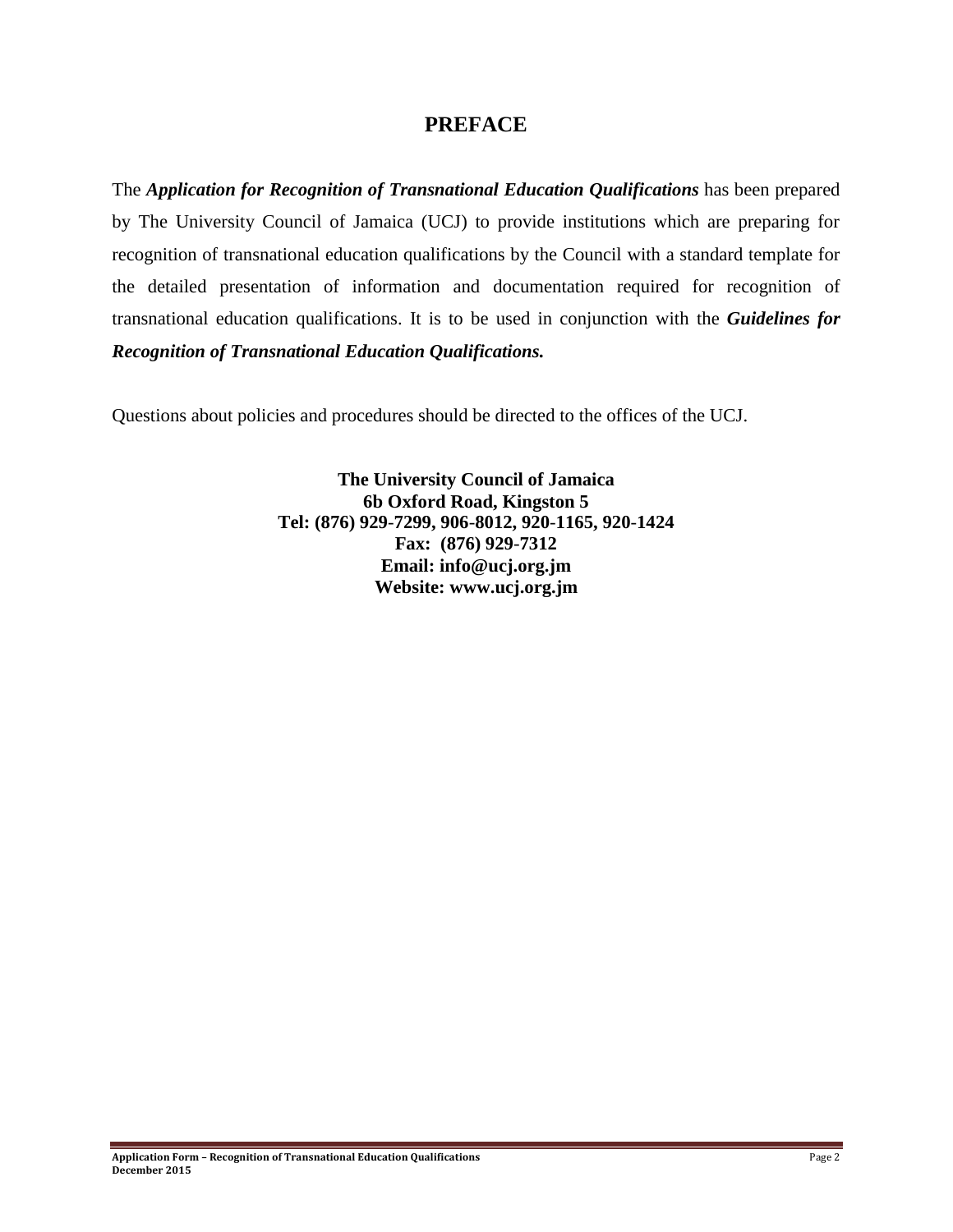# **PREFACE**

The *Application for Recognition of Transnational Education Qualifications* has been prepared by The University Council of Jamaica (UCJ) to provide institutions which are preparing for recognition of transnational education qualifications by the Council with a standard template for the detailed presentation of information and documentation required for recognition of transnational education qualifications. It is to be used in conjunction with the *Guidelines for Recognition of Transnational Education Qualifications.*

Questions about policies and procedures should be directed to the offices of the UCJ.

**The University Council of Jamaica 6b Oxford Road, Kingston 5 Tel: (876) 929**-**7299, 906**-**8012, 920**-**1165, 920**-**1424 Fax: (876) 929**-**7312 Email: info@ucj.org.jm Website: www.ucj.org.jm**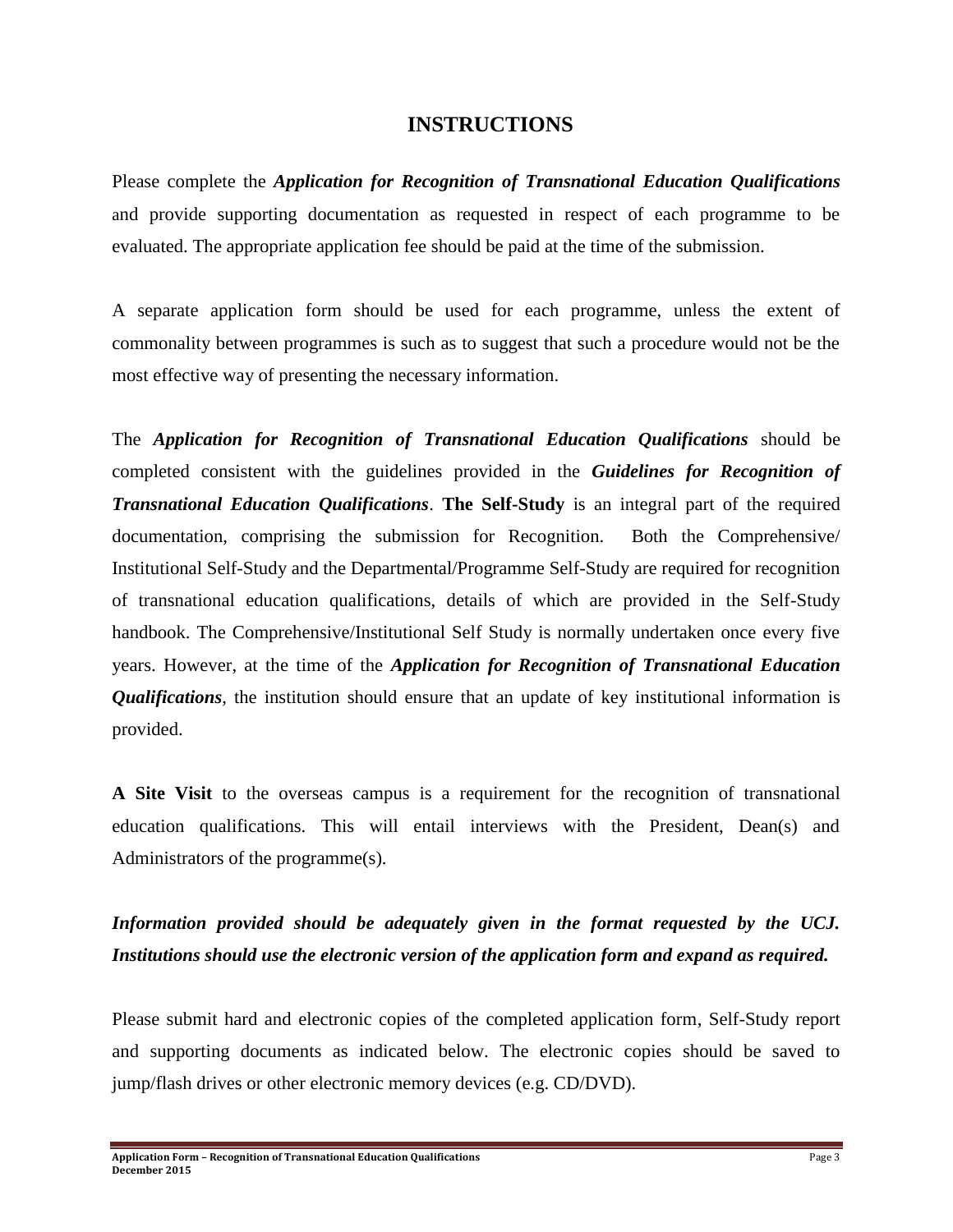## **INSTRUCTIONS**

Please complete the *Application for Recognition of Transnational Education Qualifications* and provide supporting documentation as requested in respect of each programme to be evaluated. The appropriate application fee should be paid at the time of the submission.

A separate application form should be used for each programme, unless the extent of commonality between programmes is such as to suggest that such a procedure would not be the most effective way of presenting the necessary information.

The *Application for Recognition of Transnational Education Qualifications* should be completed consistent with the guidelines provided in the *Guidelines for Recognition of Transnational Education Qualifications*. **The Self-Study** is an integral part of the required documentation, comprising the submission for Recognition. Both the Comprehensive/ Institutional Self-Study and the Departmental/Programme Self-Study are required for recognition of transnational education qualifications, details of which are provided in the Self-Study handbook. The Comprehensive/Institutional Self Study is normally undertaken once every five years. However, at the time of the *Application for Recognition of Transnational Education Qualifications*, the institution should ensure that an update of key institutional information is provided.

**A Site Visit** to the overseas campus is a requirement for the recognition of transnational education qualifications. This will entail interviews with the President, Dean(s) and Administrators of the programme(s).

# *Information provided should be adequately given in the format requested by the UCJ. Institutions should use the electronic version of the application form and expand as required.*

Please submit hard and electronic copies of the completed application form, Self-Study report and supporting documents as indicated below. The electronic copies should be saved to jump/flash drives or other electronic memory devices (e.g. CD/DVD).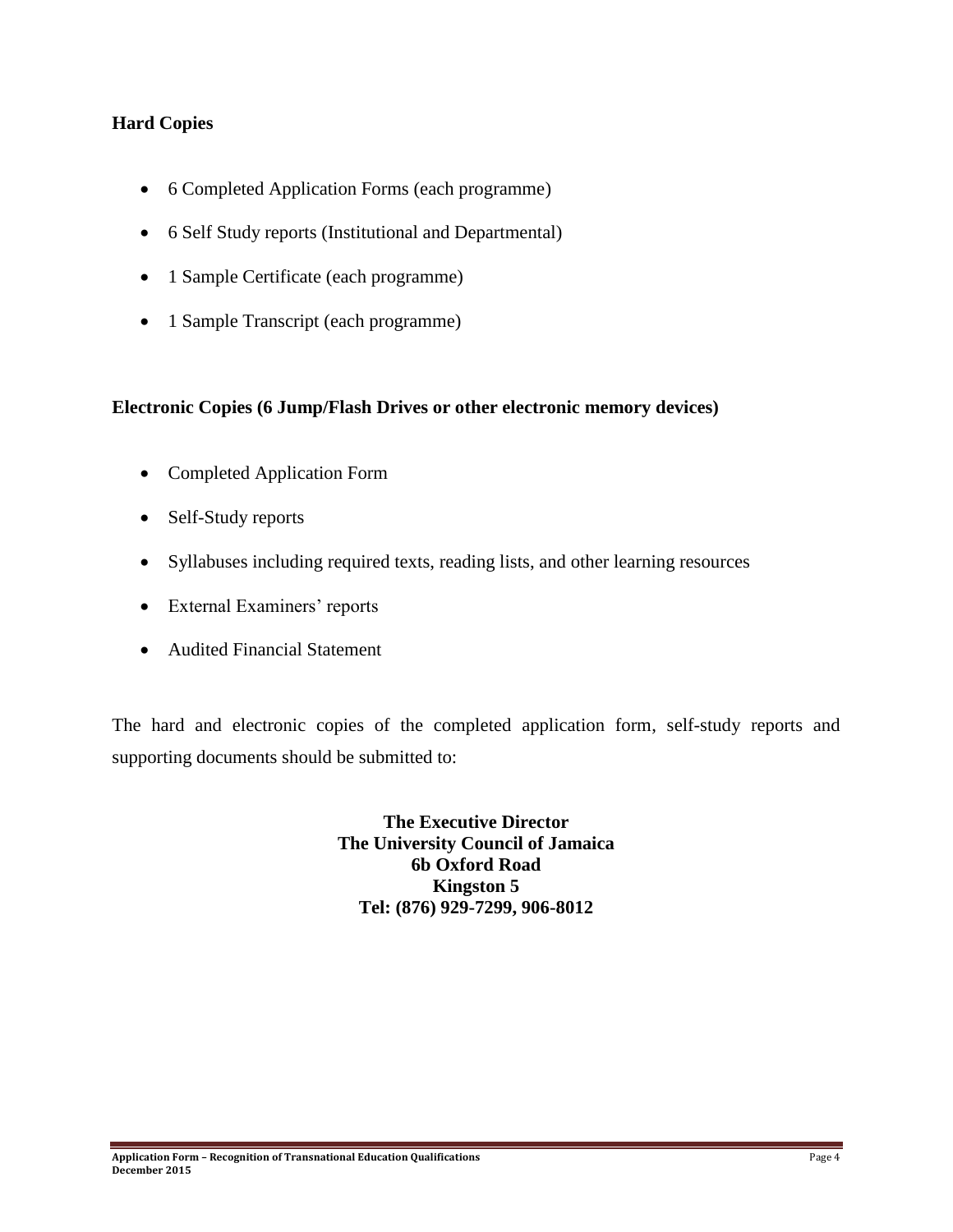# **Hard Copies**

- 6 Completed Application Forms (each programme)
- 6 Self Study reports (Institutional and Departmental)
- 1 Sample Certificate (each programme)
- 1 Sample Transcript (each programme)

#### **Electronic Copies (6 Jump/Flash Drives or other electronic memory devices)**

- Completed Application Form
- Self-Study reports
- Syllabuses including required texts, reading lists, and other learning resources
- External Examiners' reports
- Audited Financial Statement

The hard and electronic copies of the completed application form, self-study reports and supporting documents should be submitted to:

> **The Executive Director The University Council of Jamaica 6b Oxford Road Kingston 5 Tel: (876) 929-7299, 906-8012**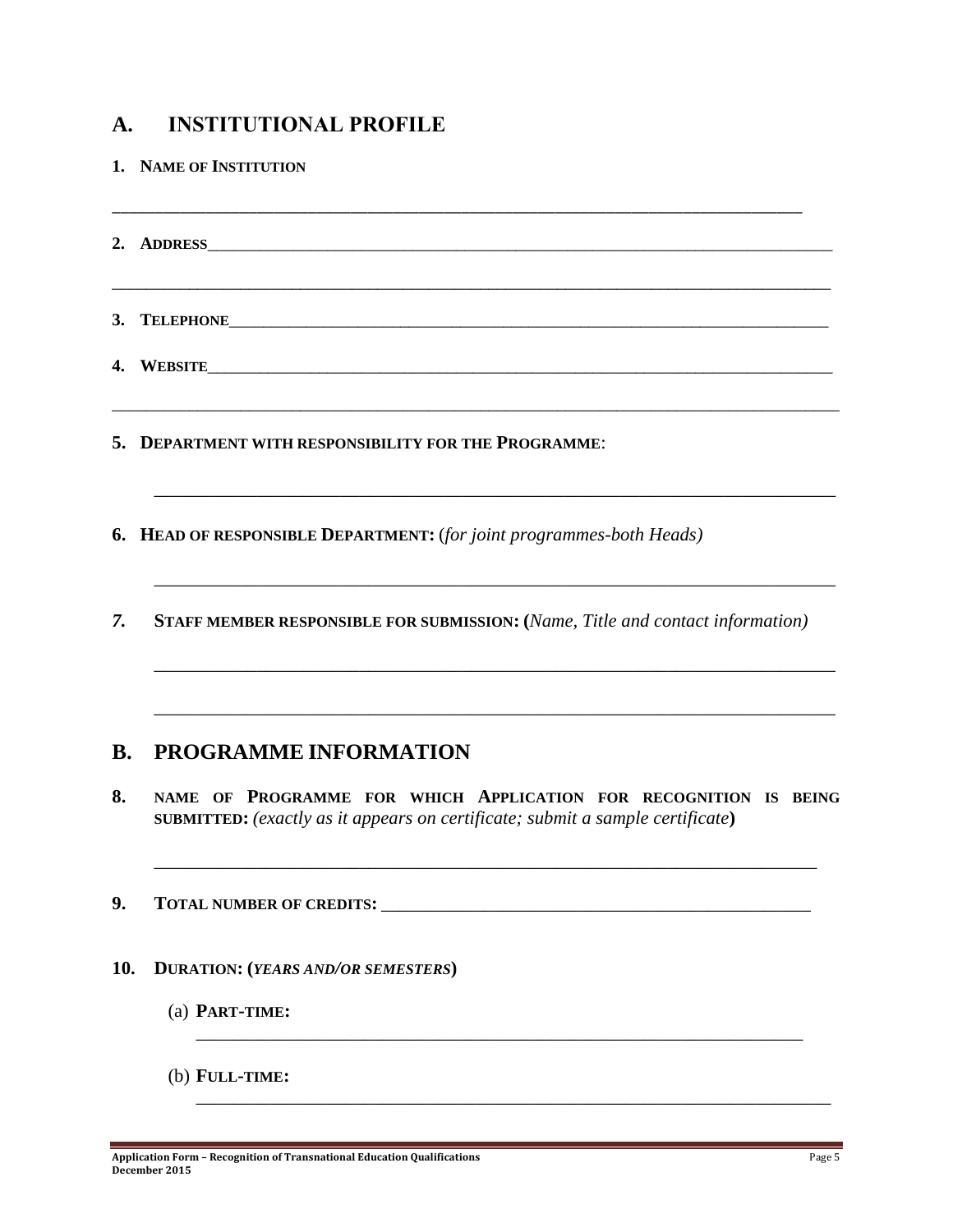# **A. INSTITUTIONAL PROFILE**

**1. NAME OF INSTITUTION** \_\_\_\_\_\_\_\_\_\_\_\_\_\_\_\_\_\_\_\_\_\_\_\_\_\_\_\_\_\_\_\_\_\_\_\_\_\_\_\_\_\_\_\_\_\_\_\_\_\_\_\_\_\_\_\_\_\_\_\_\_\_\_\_\_\_\_\_\_\_\_\_\_\_\_\_\_\_\_\_\_ **2. ADDRESS**\_\_\_\_\_\_\_\_\_\_\_\_\_\_\_\_\_\_\_\_\_\_\_\_\_\_\_\_\_\_\_\_\_\_\_\_\_\_\_\_\_\_\_\_\_\_\_\_\_\_\_\_\_\_\_\_\_\_\_\_\_\_\_\_\_\_\_\_\_\_\_\_\_ \_\_\_\_\_\_\_\_\_\_\_\_\_\_\_\_\_\_\_\_\_\_\_\_\_\_\_\_\_\_\_\_\_\_\_\_\_\_\_\_\_\_\_\_\_\_\_\_\_\_\_\_\_\_\_\_\_\_\_\_\_\_\_\_\_\_\_\_\_\_\_\_\_\_\_\_\_\_\_\_\_\_\_\_ 3. **TELEPHONE 4. WEBSITE**\_\_\_\_\_\_\_\_\_\_\_\_\_\_\_\_\_\_\_\_\_\_\_\_\_\_\_\_\_\_\_\_\_\_\_\_\_\_\_\_\_\_\_\_\_\_\_\_\_\_\_\_\_\_\_\_\_\_\_\_\_\_\_\_\_\_\_\_\_\_\_\_\_ \_\_\_\_\_\_\_\_\_\_\_\_\_\_\_\_\_\_\_\_\_\_\_\_\_\_\_\_\_\_\_\_\_\_\_\_\_\_\_\_\_\_\_\_\_\_\_\_\_\_\_\_\_\_\_\_\_\_\_\_\_\_\_\_\_\_\_\_\_\_\_\_\_\_\_\_\_\_\_\_\_\_\_\_\_ **5. DEPARTMENT WITH RESPONSIBILITY FOR THE PROGRAMME**: \_\_\_\_\_\_\_\_\_\_\_\_\_\_\_\_\_\_\_\_\_\_\_\_\_\_\_\_\_\_\_\_\_\_\_\_\_\_\_\_\_\_\_\_\_\_\_\_\_\_\_\_\_\_\_\_\_\_\_\_\_\_\_\_\_\_\_\_\_\_\_\_\_ **6. HEAD OF RESPONSIBLE DEPARTMENT:** (*for joint programmes-both Heads)* \_\_\_\_\_\_\_\_\_\_\_\_\_\_\_\_\_\_\_\_\_\_\_\_\_\_\_\_\_\_\_\_\_\_\_\_\_\_\_\_\_\_\_\_\_\_\_\_\_\_\_\_\_\_\_\_\_\_\_\_\_\_\_\_\_\_\_\_\_\_\_\_\_ *7.* **STAFF MEMBER RESPONSIBLE FOR SUBMISSION: (***Name, Title and contact information)* \_\_\_\_\_\_\_\_\_\_\_\_\_\_\_\_\_\_\_\_\_\_\_\_\_\_\_\_\_\_\_\_\_\_\_\_\_\_\_\_\_\_\_\_\_\_\_\_\_\_\_\_\_\_\_\_\_\_\_\_\_\_\_\_\_\_\_\_\_\_\_\_\_ \_\_\_\_\_\_\_\_\_\_\_\_\_\_\_\_\_\_\_\_\_\_\_\_\_\_\_\_\_\_\_\_\_\_\_\_\_\_\_\_\_\_\_\_\_\_\_\_\_\_\_\_\_\_\_\_\_\_\_\_\_\_\_\_\_\_\_\_\_\_\_\_\_ **B. PROGRAMME INFORMATION 8. NAME OF PROGRAMME FOR WHICH APPLICATION FOR RECOGNITION IS BEING SUBMITTED:** *(exactly as it appears on certificate; submit a sample certificate***)** \_\_\_\_\_\_\_\_\_\_\_\_\_\_\_\_\_\_\_\_\_\_\_\_\_\_\_\_\_\_\_\_\_\_\_\_\_\_\_\_\_\_\_\_\_\_\_\_\_\_\_\_\_\_\_\_\_\_\_\_\_\_\_\_\_\_\_\_\_\_\_ **9. TOTAL NUMBER OF CREDITS:** \_\_\_\_\_\_\_\_\_\_\_\_\_\_\_\_\_\_\_\_\_\_\_\_\_\_\_\_\_\_\_\_\_\_\_\_\_\_\_\_\_\_\_\_\_\_ **10. DURATION: (***YEARS AND/OR SEMESTERS***)** (a) **PART-TIME:** \_\_\_\_\_\_\_\_\_\_\_\_\_\_\_\_\_\_\_\_\_\_\_\_\_\_\_\_\_\_\_\_\_\_\_\_\_\_\_\_\_\_\_\_\_\_\_\_\_\_\_\_\_\_\_\_\_\_\_\_\_\_\_\_\_ (b) **FULL-TIME:** \_\_\_\_\_\_\_\_\_\_\_\_\_\_\_\_\_\_\_\_\_\_\_\_\_\_\_\_\_\_\_\_\_\_\_\_\_\_\_\_\_\_\_\_\_\_\_\_\_\_\_\_\_\_\_\_\_\_\_\_\_\_\_\_\_\_\_\_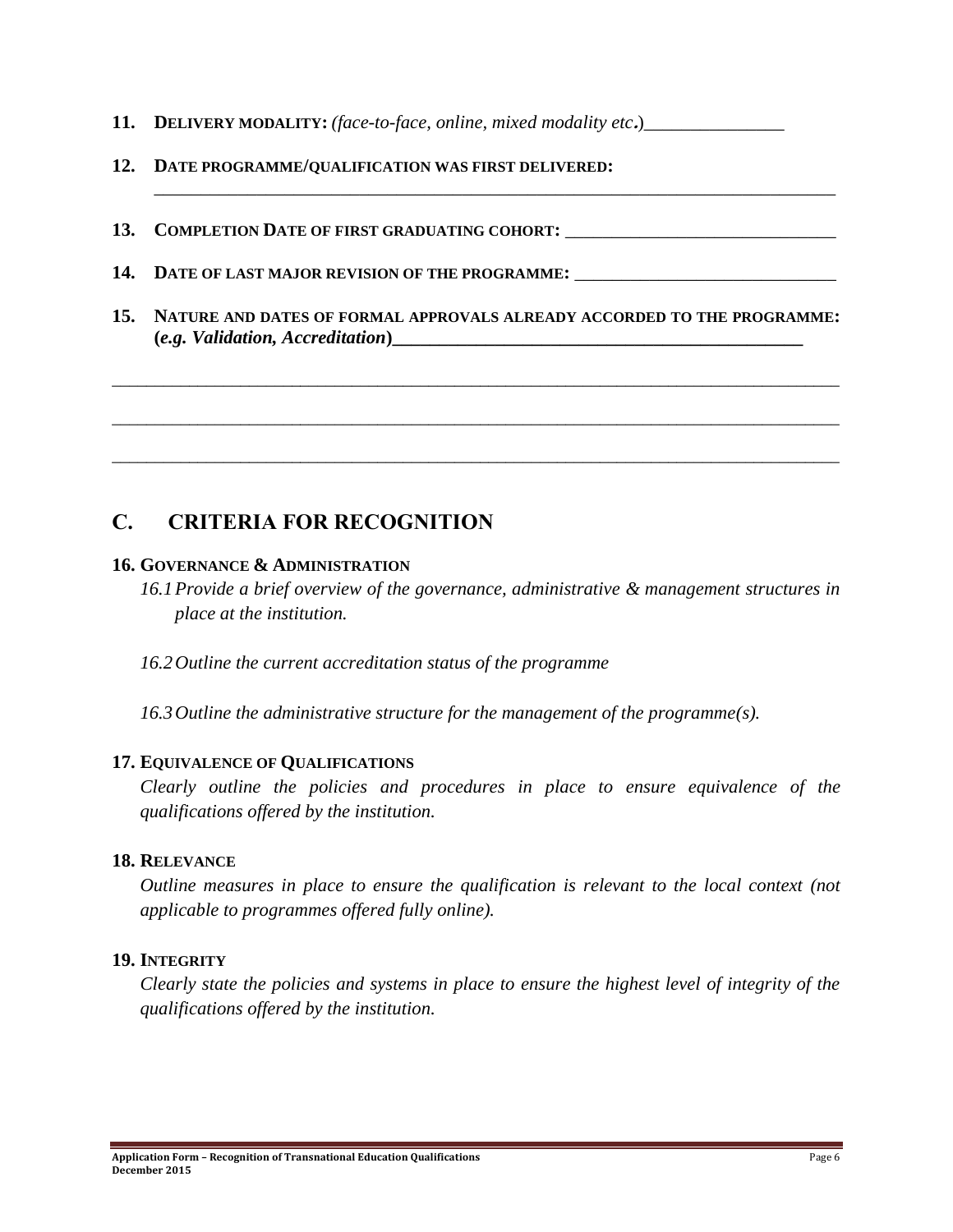- **11. DELIVERY MODALITY:** *(face-to-face, online, mixed modality etc.)*
- **12. DATE PROGRAMME/QUALIFICATION WAS FIRST DELIVERED:**
- 13. COMPLETION DATE OF FIRST GRADUATING COHORT:
- **14. DATE OF LAST MAJOR REVISION OF THE PROGRAMME:** \_\_\_\_\_\_\_\_\_\_\_\_\_\_\_\_\_\_\_\_\_\_\_\_\_\_\_\_
- **15. NATURE AND DATES OF FORMAL APPROVALS ALREADY ACCORDED TO THE PROGRAMME: (***e.g. Validation, Accreditation***)\_\_\_\_\_\_\_\_\_\_\_\_\_\_\_\_\_\_\_\_\_\_\_\_\_\_\_\_\_\_\_\_\_\_\_\_\_\_\_\_\_\_\_\_**

\_\_\_\_\_\_\_\_\_\_\_\_\_\_\_\_\_\_\_\_\_\_\_\_\_\_\_\_\_\_\_\_\_\_\_\_\_\_\_\_\_\_\_\_\_\_\_\_\_\_\_\_\_\_\_\_\_\_\_\_\_\_\_\_\_\_\_\_\_\_\_\_\_\_\_\_\_\_\_\_\_\_\_\_\_

\_\_\_\_\_\_\_\_\_\_\_\_\_\_\_\_\_\_\_\_\_\_\_\_\_\_\_\_\_\_\_\_\_\_\_\_\_\_\_\_\_\_\_\_\_\_\_\_\_\_\_\_\_\_\_\_\_\_\_\_\_\_\_\_\_\_\_\_\_\_\_\_\_\_\_\_\_\_\_\_\_\_\_\_\_

\_\_\_\_\_\_\_\_\_\_\_\_\_\_\_\_\_\_\_\_\_\_\_\_\_\_\_\_\_\_\_\_\_\_\_\_\_\_\_\_\_\_\_\_\_\_\_\_\_\_\_\_\_\_\_\_\_\_\_\_\_\_\_\_\_\_\_\_\_\_\_\_\_\_\_\_\_\_\_\_\_\_\_\_\_

\_\_\_\_\_\_\_\_\_\_\_\_\_\_\_\_\_\_\_\_\_\_\_\_\_\_\_\_\_\_\_\_\_\_\_\_\_\_\_\_\_\_\_\_\_\_\_\_\_\_\_\_\_\_\_\_\_\_\_\_\_\_\_\_\_\_\_\_\_\_\_\_\_

# **C. CRITERIA FOR RECOGNITION**

#### **16. GOVERNANCE & ADMINISTRATION**

- *16.1Provide a brief overview of the governance, administrative & management structures in place at the institution.*
- *16.2Outline the current accreditation status of the programme*
- *16.3Outline the administrative structure for the management of the programme(s).*

## **17. EQUIVALENCE OF QUALIFICATIONS**

*Clearly outline the policies and procedures in place to ensure equivalence of the qualifications offered by the institution.*

#### **18. RELEVANCE**

*Outline measures in place to ensure the qualification is relevant to the local context (not applicable to programmes offered fully online).*

## **19. INTEGRITY**

*Clearly state the policies and systems in place to ensure the highest level of integrity of the qualifications offered by the institution.*